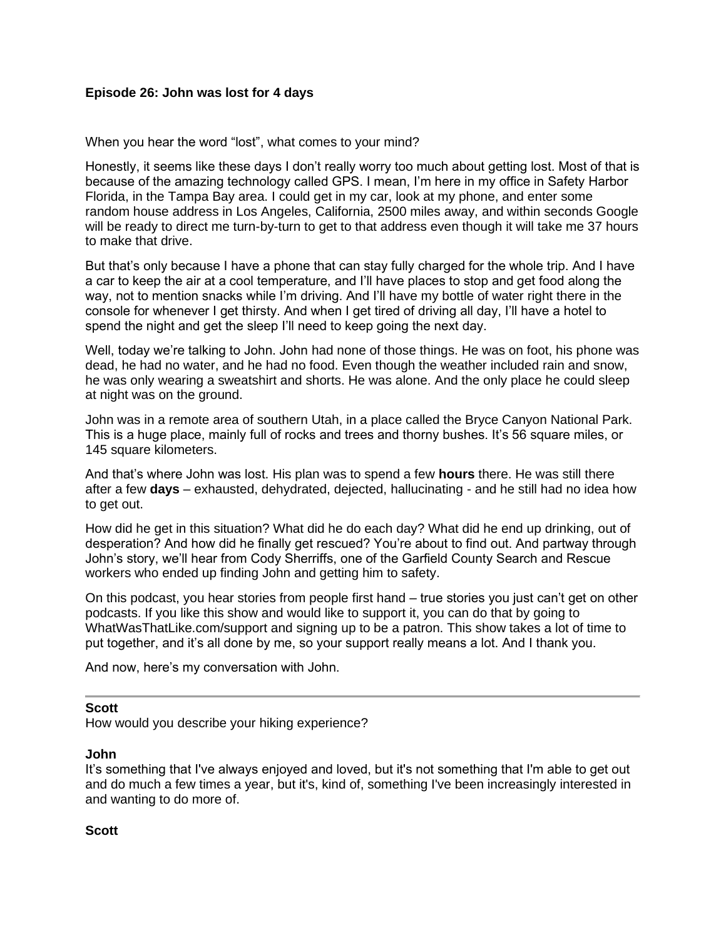### **Episode 26: John was lost for 4 days**

When you hear the word "lost", what comes to your mind?

Honestly, it seems like these days I don't really worry too much about getting lost. Most of that is because of the amazing technology called GPS. I mean, I'm here in my office in Safety Harbor Florida, in the Tampa Bay area. I could get in my car, look at my phone, and enter some random house address in Los Angeles, California, 2500 miles away, and within seconds Google will be ready to direct me turn-by-turn to get to that address even though it will take me 37 hours to make that drive.

But that's only because I have a phone that can stay fully charged for the whole trip. And I have a car to keep the air at a cool temperature, and I'll have places to stop and get food along the way, not to mention snacks while I'm driving. And I'll have my bottle of water right there in the console for whenever I get thirsty. And when I get tired of driving all day, I'll have a hotel to spend the night and get the sleep I'll need to keep going the next day.

Well, today we're talking to John. John had none of those things. He was on foot, his phone was dead, he had no water, and he had no food. Even though the weather included rain and snow, he was only wearing a sweatshirt and shorts. He was alone. And the only place he could sleep at night was on the ground.

John was in a remote area of southern Utah, in a place called the Bryce Canyon National Park. This is a huge place, mainly full of rocks and trees and thorny bushes. It's 56 square miles, or 145 square kilometers.

And that's where John was lost. His plan was to spend a few **hours** there. He was still there after a few **days** – exhausted, dehydrated, dejected, hallucinating - and he still had no idea how to get out.

How did he get in this situation? What did he do each day? What did he end up drinking, out of desperation? And how did he finally get rescued? You're about to find out. And partway through John's story, we'll hear from Cody Sherriffs, one of the Garfield County Search and Rescue workers who ended up finding John and getting him to safety.

On this podcast, you hear stories from people first hand – true stories you just can't get on other podcasts. If you like this show and would like to support it, you can do that by going to WhatWasThatLike.com/support and signing up to be a patron. This show takes a lot of time to put together, and it's all done by me, so your support really means a lot. And I thank you.

And now, here's my conversation with John.

### **Scott**

How would you describe your hiking experience?

#### **John**

It's something that I've always enjoyed and loved, but it's not something that I'm able to get out and do much a few times a year, but it's, kind of, something I've been increasingly interested in and wanting to do more of.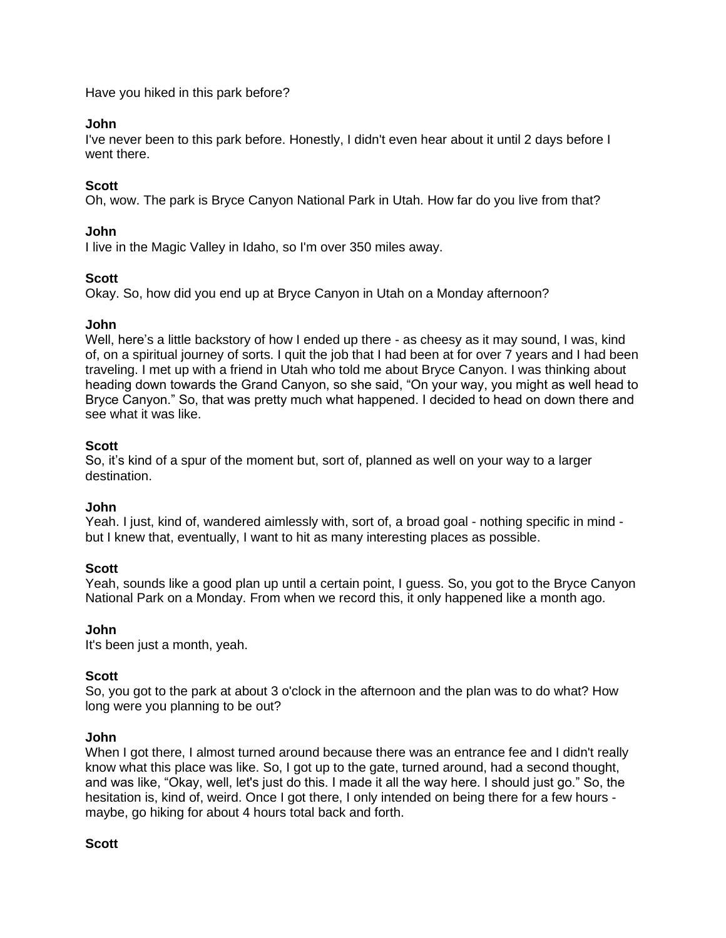Have you hiked in this park before?

### **John**

I've never been to this park before. Honestly, I didn't even hear about it until 2 days before I went there.

### **Scott**

Oh, wow. The park is Bryce Canyon National Park in Utah. How far do you live from that?

### **John**

I live in the Magic Valley in Idaho, so I'm over 350 miles away.

### **Scott**

Okay. So, how did you end up at Bryce Canyon in Utah on a Monday afternoon?

#### **John**

Well, here's a little backstory of how I ended up there - as cheesy as it may sound, I was, kind of, on a spiritual journey of sorts. I quit the job that I had been at for over 7 years and I had been traveling. I met up with a friend in Utah who told me about Bryce Canyon. I was thinking about heading down towards the Grand Canyon, so she said, "On your way, you might as well head to Bryce Canyon." So, that was pretty much what happened. I decided to head on down there and see what it was like.

### **Scott**

So, it's kind of a spur of the moment but, sort of, planned as well on your way to a larger destination.

#### **John**

Yeah. I just, kind of, wandered aimlessly with, sort of, a broad goal - nothing specific in mind but I knew that, eventually, I want to hit as many interesting places as possible.

#### **Scott**

Yeah, sounds like a good plan up until a certain point, I guess. So, you got to the Bryce Canyon National Park on a Monday. From when we record this, it only happened like a month ago.

#### **John**

It's been just a month, yeah.

#### **Scott**

So, you got to the park at about 3 o'clock in the afternoon and the plan was to do what? How long were you planning to be out?

#### **John**

When I got there, I almost turned around because there was an entrance fee and I didn't really know what this place was like. So, I got up to the gate, turned around, had a second thought, and was like, "Okay, well, let's just do this. I made it all the way here. I should just go." So, the hesitation is, kind of, weird. Once I got there, I only intended on being there for a few hours maybe, go hiking for about 4 hours total back and forth.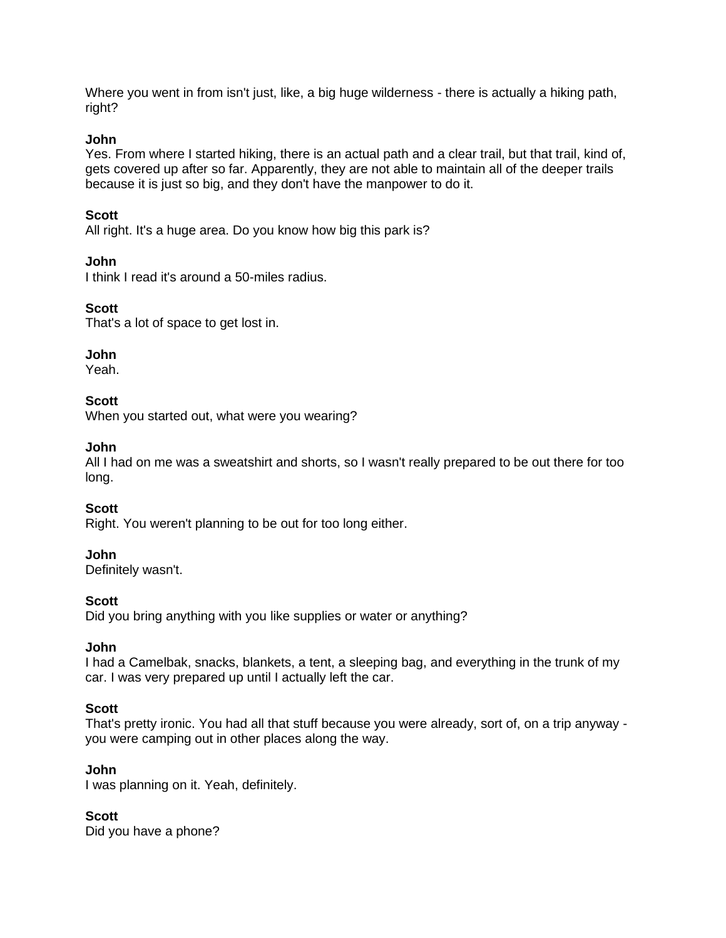Where you went in from isn't just, like, a big huge wilderness - there is actually a hiking path, right?

### **John**

Yes. From where I started hiking, there is an actual path and a clear trail, but that trail, kind of, gets covered up after so far. Apparently, they are not able to maintain all of the deeper trails because it is just so big, and they don't have the manpower to do it.

## **Scott**

All right. It's a huge area. Do you know how big this park is?

## **John**

I think I read it's around a 50-miles radius.

# **Scott**

That's a lot of space to get lost in.

# **John**

Yeah.

# **Scott**

When you started out, what were you wearing?

## **John**

All I had on me was a sweatshirt and shorts, so I wasn't really prepared to be out there for too long.

## **Scott**

Right. You weren't planning to be out for too long either.

## **John**

Definitely wasn't.

## **Scott**

Did you bring anything with you like supplies or water or anything?

## **John**

I had a Camelbak, snacks, blankets, a tent, a sleeping bag, and everything in the trunk of my car. I was very prepared up until I actually left the car.

## **Scott**

That's pretty ironic. You had all that stuff because you were already, sort of, on a trip anyway you were camping out in other places along the way.

## **John**

I was planning on it. Yeah, definitely.

## **Scott**

Did you have a phone?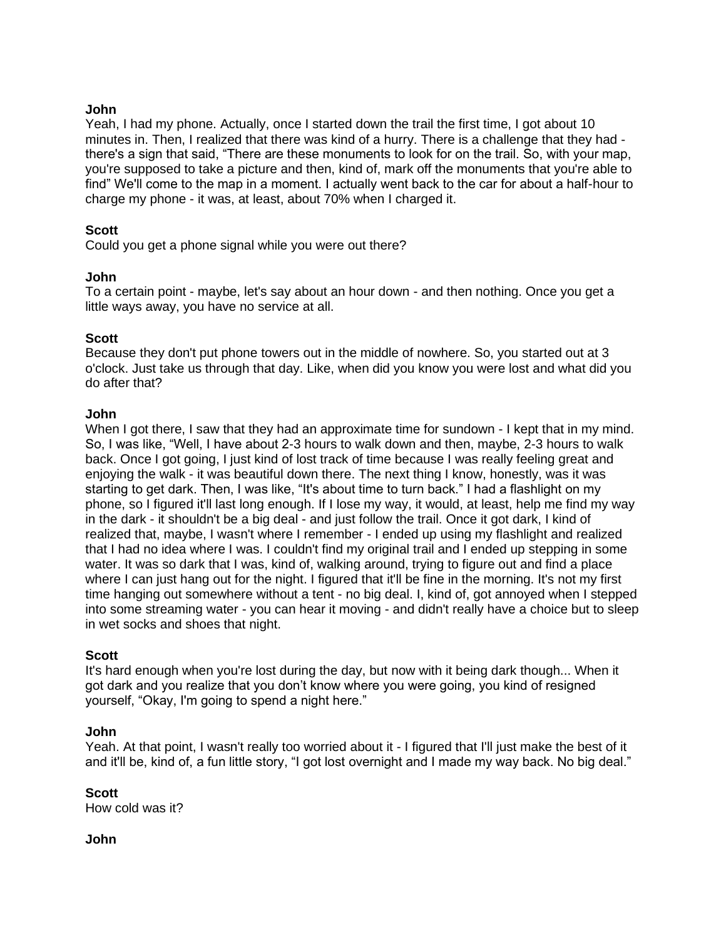### **John**

Yeah, I had my phone. Actually, once I started down the trail the first time, I got about 10 minutes in. Then, I realized that there was kind of a hurry. There is a challenge that they had there's a sign that said, "There are these monuments to look for on the trail. So, with your map, you're supposed to take a picture and then, kind of, mark off the monuments that you're able to find" We'll come to the map in a moment. I actually went back to the car for about a half-hour to charge my phone - it was, at least, about 70% when I charged it.

### **Scott**

Could you get a phone signal while you were out there?

### **John**

To a certain point - maybe, let's say about an hour down - and then nothing. Once you get a little ways away, you have no service at all.

### **Scott**

Because they don't put phone towers out in the middle of nowhere. So, you started out at 3 o'clock. Just take us through that day. Like, when did you know you were lost and what did you do after that?

### **John**

When I got there, I saw that they had an approximate time for sundown - I kept that in my mind. So, I was like, "Well, I have about 2-3 hours to walk down and then, maybe, 2-3 hours to walk back. Once I got going, I just kind of lost track of time because I was really feeling great and enjoying the walk - it was beautiful down there. The next thing I know, honestly, was it was starting to get dark. Then, I was like, "It's about time to turn back." I had a flashlight on my phone, so I figured it'll last long enough. If I lose my way, it would, at least, help me find my way in the dark - it shouldn't be a big deal - and just follow the trail. Once it got dark, I kind of realized that, maybe, I wasn't where I remember - I ended up using my flashlight and realized that I had no idea where I was. I couldn't find my original trail and I ended up stepping in some water. It was so dark that I was, kind of, walking around, trying to figure out and find a place where I can just hang out for the night. I figured that it'll be fine in the morning. It's not my first time hanging out somewhere without a tent - no big deal. I, kind of, got annoyed when I stepped into some streaming water - you can hear it moving - and didn't really have a choice but to sleep in wet socks and shoes that night.

#### **Scott**

It's hard enough when you're lost during the day, but now with it being dark though... When it got dark and you realize that you don't know where you were going, you kind of resigned yourself, "Okay, I'm going to spend a night here."

#### **John**

Yeah. At that point, I wasn't really too worried about it - I figured that I'll just make the best of it and it'll be, kind of, a fun little story, "I got lost overnight and I made my way back. No big deal."

**Scott** How cold was it?

#### **John**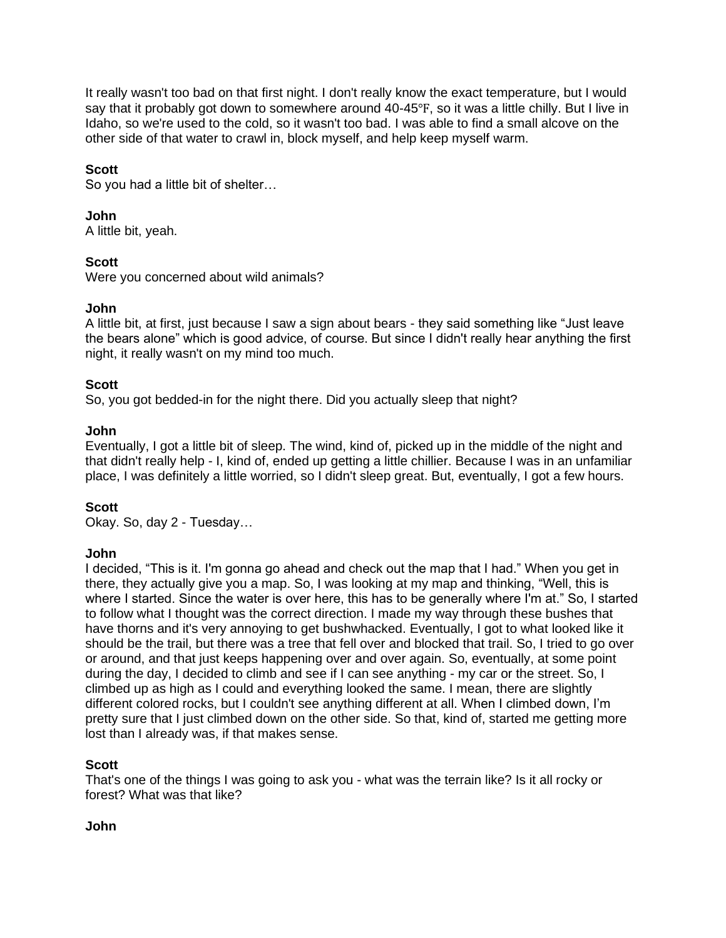It really wasn't too bad on that first night. I don't really know the exact temperature, but I would say that it probably got down to somewhere around 40-45°F, so it was a little chilly. But I live in Idaho, so we're used to the cold, so it wasn't too bad. I was able to find a small alcove on the other side of that water to crawl in, block myself, and help keep myself warm.

## **Scott**

So you had a little bit of shelter…

### **John**

A little bit, yeah.

## **Scott**

Were you concerned about wild animals?

## **John**

A little bit, at first, just because I saw a sign about bears - they said something like "Just leave the bears alone" which is good advice, of course. But since I didn't really hear anything the first night, it really wasn't on my mind too much.

### **Scott**

So, you got bedded-in for the night there. Did you actually sleep that night?

### **John**

Eventually, I got a little bit of sleep. The wind, kind of, picked up in the middle of the night and that didn't really help - I, kind of, ended up getting a little chillier. Because I was in an unfamiliar place, I was definitely a little worried, so I didn't sleep great. But, eventually, I got a few hours.

## **Scott**

Okay. So, day 2 - Tuesday…

## **John**

I decided, "This is it. I'm gonna go ahead and check out the map that I had." When you get in there, they actually give you a map. So, I was looking at my map and thinking, "Well, this is where I started. Since the water is over here, this has to be generally where I'm at." So, I started to follow what I thought was the correct direction. I made my way through these bushes that have thorns and it's very annoying to get bushwhacked. Eventually, I got to what looked like it should be the trail, but there was a tree that fell over and blocked that trail. So, I tried to go over or around, and that just keeps happening over and over again. So, eventually, at some point during the day, I decided to climb and see if I can see anything - my car or the street. So, I climbed up as high as I could and everything looked the same. I mean, there are slightly different colored rocks, but I couldn't see anything different at all. When I climbed down, I'm pretty sure that I just climbed down on the other side. So that, kind of, started me getting more lost than I already was, if that makes sense.

## **Scott**

That's one of the things I was going to ask you - what was the terrain like? Is it all rocky or forest? What was that like?

#### **John**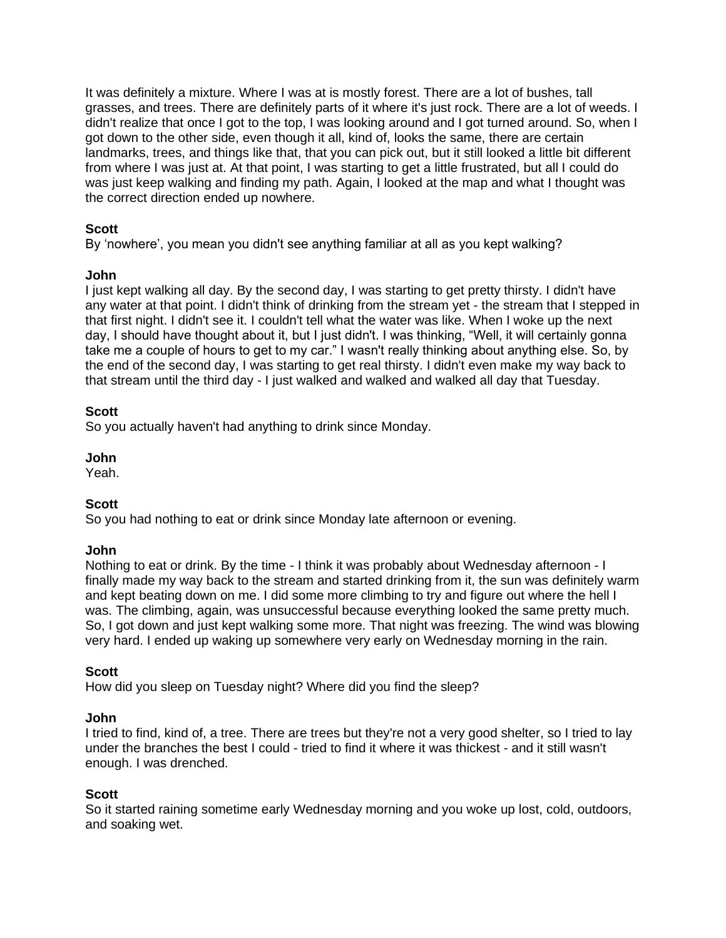It was definitely a mixture. Where I was at is mostly forest. There are a lot of bushes, tall grasses, and trees. There are definitely parts of it where it's just rock. There are a lot of weeds. I didn't realize that once I got to the top, I was looking around and I got turned around. So, when I got down to the other side, even though it all, kind of, looks the same, there are certain landmarks, trees, and things like that, that you can pick out, but it still looked a little bit different from where I was just at. At that point, I was starting to get a little frustrated, but all I could do was just keep walking and finding my path. Again, I looked at the map and what I thought was the correct direction ended up nowhere.

## **Scott**

By 'nowhere', you mean you didn't see anything familiar at all as you kept walking?

## **John**

I just kept walking all day. By the second day, I was starting to get pretty thirsty. I didn't have any water at that point. I didn't think of drinking from the stream yet - the stream that I stepped in that first night. I didn't see it. I couldn't tell what the water was like. When I woke up the next day, I should have thought about it, but I just didn't. I was thinking, "Well, it will certainly gonna take me a couple of hours to get to my car." I wasn't really thinking about anything else. So, by the end of the second day, I was starting to get real thirsty. I didn't even make my way back to that stream until the third day - I just walked and walked and walked all day that Tuesday.

# **Scott**

So you actually haven't had anything to drink since Monday.

# **John**

Yeah.

# **Scott**

So you had nothing to eat or drink since Monday late afternoon or evening.

## **John**

Nothing to eat or drink. By the time - I think it was probably about Wednesday afternoon - I finally made my way back to the stream and started drinking from it, the sun was definitely warm and kept beating down on me. I did some more climbing to try and figure out where the hell I was. The climbing, again, was unsuccessful because everything looked the same pretty much. So, I got down and just kept walking some more. That night was freezing. The wind was blowing very hard. I ended up waking up somewhere very early on Wednesday morning in the rain.

## **Scott**

How did you sleep on Tuesday night? Where did you find the sleep?

## **John**

I tried to find, kind of, a tree. There are trees but they're not a very good shelter, so I tried to lay under the branches the best I could - tried to find it where it was thickest - and it still wasn't enough. I was drenched.

## **Scott**

So it started raining sometime early Wednesday morning and you woke up lost, cold, outdoors, and soaking wet.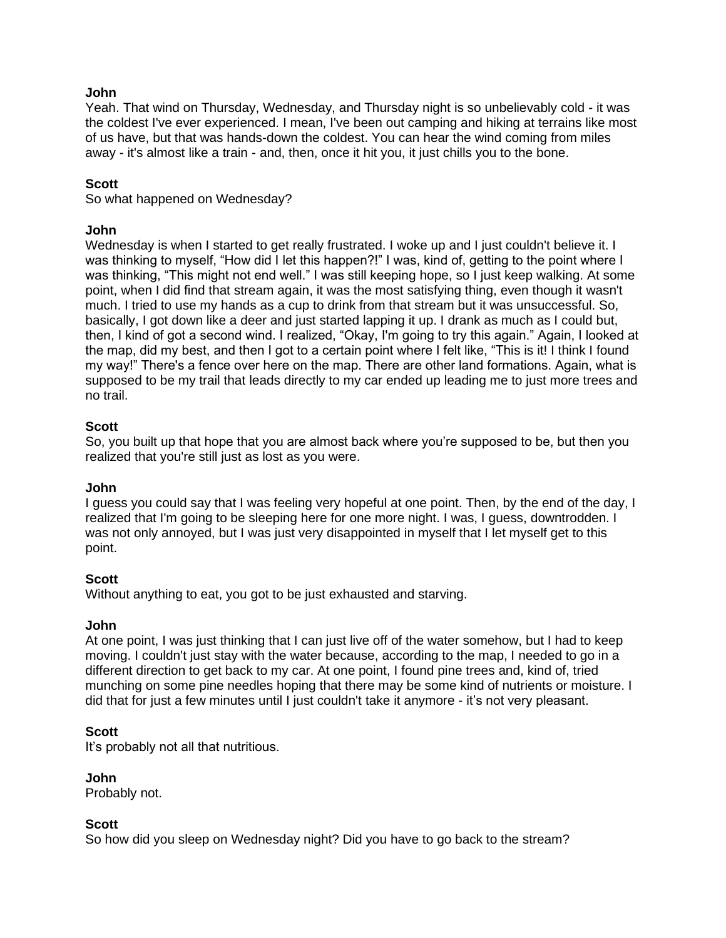### **John**

Yeah. That wind on Thursday, Wednesday, and Thursday night is so unbelievably cold - it was the coldest I've ever experienced. I mean, I've been out camping and hiking at terrains like most of us have, but that was hands-down the coldest. You can hear the wind coming from miles away - it's almost like a train - and, then, once it hit you, it just chills you to the bone.

### **Scott**

So what happened on Wednesday?

### **John**

Wednesday is when I started to get really frustrated. I woke up and I just couldn't believe it. I was thinking to myself, "How did I let this happen?!" I was, kind of, getting to the point where I was thinking, "This might not end well." I was still keeping hope, so I just keep walking. At some point, when I did find that stream again, it was the most satisfying thing, even though it wasn't much. I tried to use my hands as a cup to drink from that stream but it was unsuccessful. So, basically, I got down like a deer and just started lapping it up. I drank as much as I could but, then, I kind of got a second wind. I realized, "Okay, I'm going to try this again." Again, I looked at the map, did my best, and then I got to a certain point where I felt like, "This is it! I think I found my way!" There's a fence over here on the map. There are other land formations. Again, what is supposed to be my trail that leads directly to my car ended up leading me to just more trees and no trail.

### **Scott**

So, you built up that hope that you are almost back where you're supposed to be, but then you realized that you're still just as lost as you were.

#### **John**

I guess you could say that I was feeling very hopeful at one point. Then, by the end of the day, I realized that I'm going to be sleeping here for one more night. I was, I guess, downtrodden. I was not only annoyed, but I was just very disappointed in myself that I let myself get to this point.

#### **Scott**

Without anything to eat, you got to be just exhausted and starving.

#### **John**

At one point, I was just thinking that I can just live off of the water somehow, but I had to keep moving. I couldn't just stay with the water because, according to the map, I needed to go in a different direction to get back to my car. At one point, I found pine trees and, kind of, tried munching on some pine needles hoping that there may be some kind of nutrients or moisture. I did that for just a few minutes until I just couldn't take it anymore - it's not very pleasant.

#### **Scott**

It's probably not all that nutritious.

**John**

Probably not.

#### **Scott**

So how did you sleep on Wednesday night? Did you have to go back to the stream?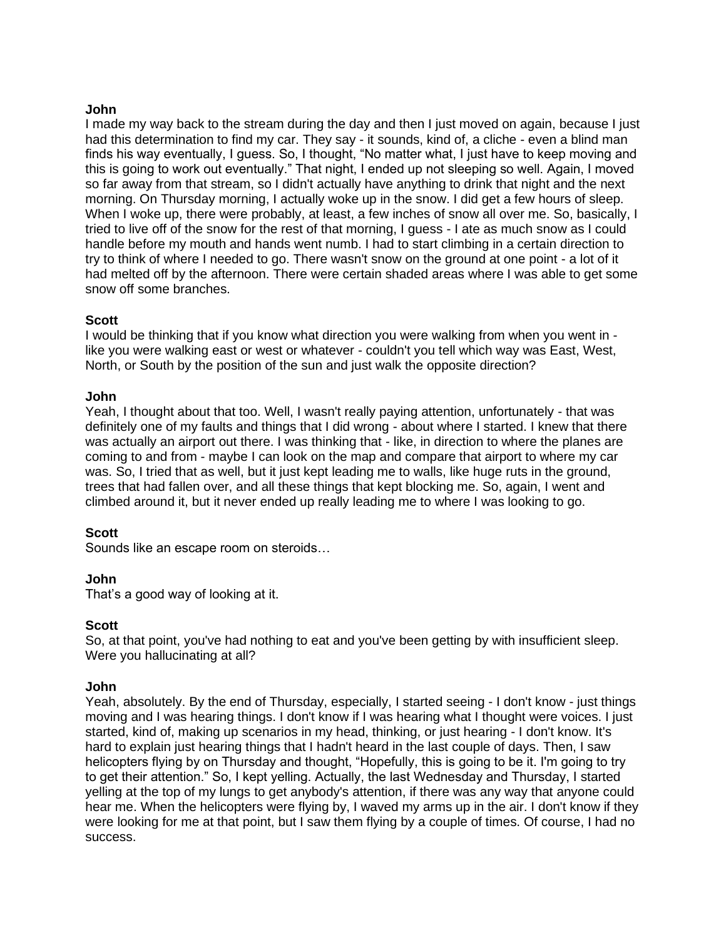### **John**

I made my way back to the stream during the day and then I just moved on again, because I just had this determination to find my car. They say - it sounds, kind of, a cliche - even a blind man finds his way eventually, I guess. So, I thought, "No matter what, I just have to keep moving and this is going to work out eventually." That night, I ended up not sleeping so well. Again, I moved so far away from that stream, so I didn't actually have anything to drink that night and the next morning. On Thursday morning, I actually woke up in the snow. I did get a few hours of sleep. When I woke up, there were probably, at least, a few inches of snow all over me. So, basically, I tried to live off of the snow for the rest of that morning, I guess - I ate as much snow as I could handle before my mouth and hands went numb. I had to start climbing in a certain direction to try to think of where I needed to go. There wasn't snow on the ground at one point - a lot of it had melted off by the afternoon. There were certain shaded areas where I was able to get some snow off some branches.

### **Scott**

I would be thinking that if you know what direction you were walking from when you went in like you were walking east or west or whatever - couldn't you tell which way was East, West, North, or South by the position of the sun and just walk the opposite direction?

#### **John**

Yeah, I thought about that too. Well, I wasn't really paying attention, unfortunately - that was definitely one of my faults and things that I did wrong - about where I started. I knew that there was actually an airport out there. I was thinking that - like, in direction to where the planes are coming to and from - maybe I can look on the map and compare that airport to where my car was. So, I tried that as well, but it just kept leading me to walls, like huge ruts in the ground, trees that had fallen over, and all these things that kept blocking me. So, again, I went and climbed around it, but it never ended up really leading me to where I was looking to go.

#### **Scott**

Sounds like an escape room on steroids…

## **John**

That's a good way of looking at it.

## **Scott**

So, at that point, you've had nothing to eat and you've been getting by with insufficient sleep. Were you hallucinating at all?

#### **John**

Yeah, absolutely. By the end of Thursday, especially, I started seeing - I don't know - just things moving and I was hearing things. I don't know if I was hearing what I thought were voices. I just started, kind of, making up scenarios in my head, thinking, or just hearing - I don't know. It's hard to explain just hearing things that I hadn't heard in the last couple of days. Then, I saw helicopters flying by on Thursday and thought, "Hopefully, this is going to be it. I'm going to try to get their attention." So, I kept yelling. Actually, the last Wednesday and Thursday, I started yelling at the top of my lungs to get anybody's attention, if there was any way that anyone could hear me. When the helicopters were flying by, I waved my arms up in the air. I don't know if they were looking for me at that point, but I saw them flying by a couple of times. Of course, I had no success.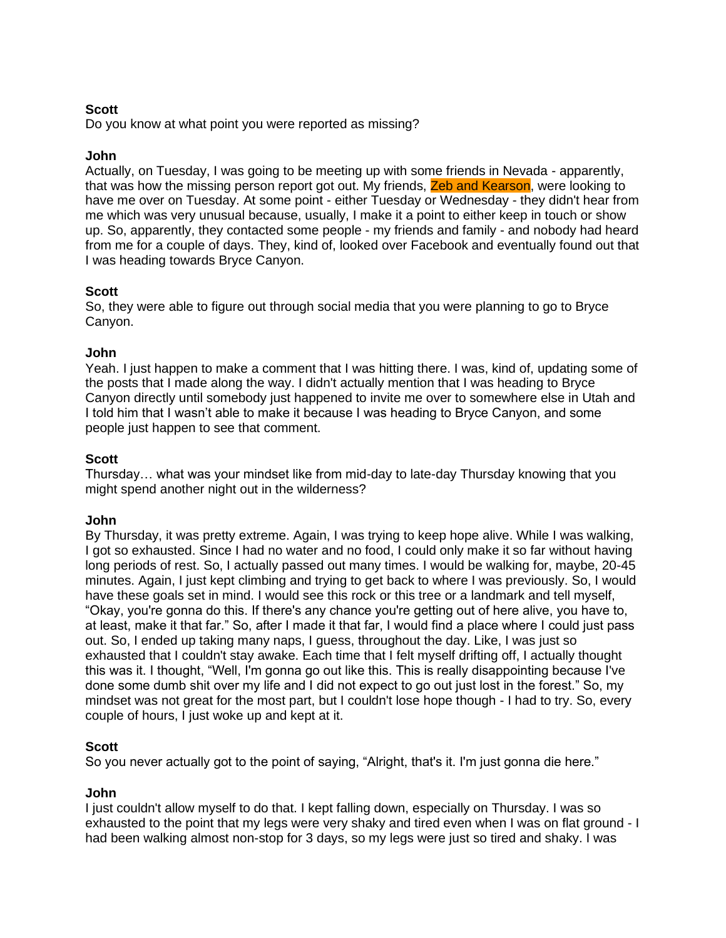## **Scott**

Do you know at what point you were reported as missing?

## **John**

Actually, on Tuesday, I was going to be meeting up with some friends in Nevada - apparently, that was how the missing person report got out. My friends, Zeb and Kearson, were looking to have me over on Tuesday. At some point - either Tuesday or Wednesday - they didn't hear from me which was very unusual because, usually, I make it a point to either keep in touch or show up. So, apparently, they contacted some people - my friends and family - and nobody had heard from me for a couple of days. They, kind of, looked over Facebook and eventually found out that I was heading towards Bryce Canyon.

## **Scott**

So, they were able to figure out through social media that you were planning to go to Bryce Canyon.

### **John**

Yeah. I just happen to make a comment that I was hitting there. I was, kind of, updating some of the posts that I made along the way. I didn't actually mention that I was heading to Bryce Canyon directly until somebody just happened to invite me over to somewhere else in Utah and I told him that I wasn't able to make it because I was heading to Bryce Canyon, and some people just happen to see that comment.

### **Scott**

Thursday… what was your mindset like from mid-day to late-day Thursday knowing that you might spend another night out in the wilderness?

#### **John**

By Thursday, it was pretty extreme. Again, I was trying to keep hope alive. While I was walking, I got so exhausted. Since I had no water and no food, I could only make it so far without having long periods of rest. So, I actually passed out many times. I would be walking for, maybe, 20-45 minutes. Again, I just kept climbing and trying to get back to where I was previously. So, I would have these goals set in mind. I would see this rock or this tree or a landmark and tell myself, "Okay, you're gonna do this. If there's any chance you're getting out of here alive, you have to, at least, make it that far." So, after I made it that far, I would find a place where I could just pass out. So, I ended up taking many naps, I guess, throughout the day. Like, I was just so exhausted that I couldn't stay awake. Each time that I felt myself drifting off, I actually thought this was it. I thought, "Well, I'm gonna go out like this. This is really disappointing because I've done some dumb shit over my life and I did not expect to go out just lost in the forest." So, my mindset was not great for the most part, but I couldn't lose hope though - I had to try. So, every couple of hours, I just woke up and kept at it.

## **Scott**

So you never actually got to the point of saying, "Alright, that's it. I'm just gonna die here."

#### **John**

I just couldn't allow myself to do that. I kept falling down, especially on Thursday. I was so exhausted to the point that my legs were very shaky and tired even when I was on flat ground - I had been walking almost non-stop for 3 days, so my legs were just so tired and shaky. I was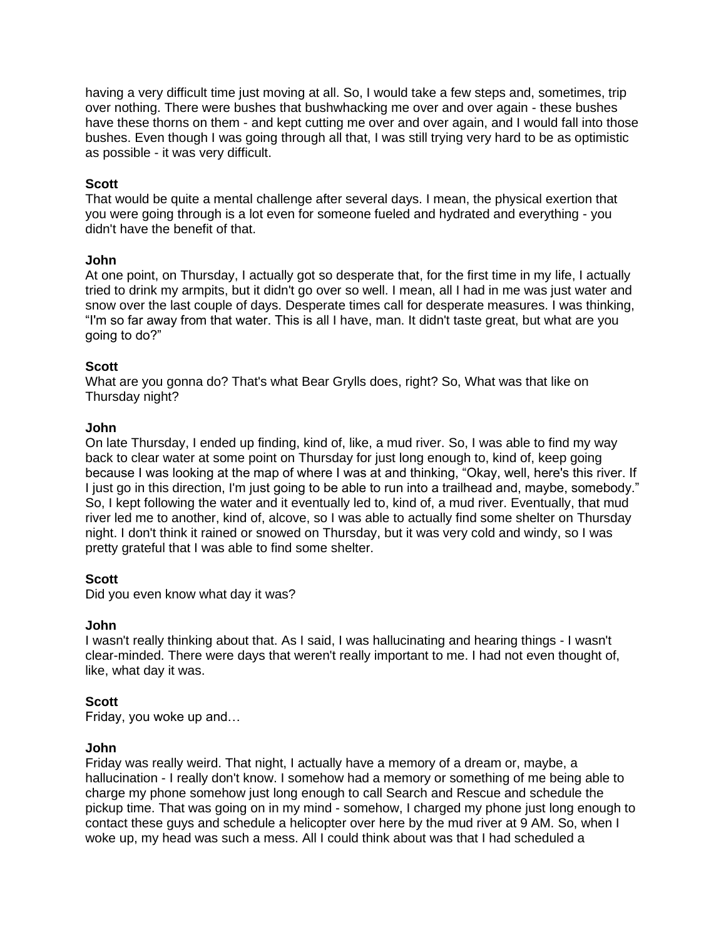having a very difficult time just moving at all. So, I would take a few steps and, sometimes, trip over nothing. There were bushes that bushwhacking me over and over again - these bushes have these thorns on them - and kept cutting me over and over again, and I would fall into those bushes. Even though I was going through all that, I was still trying very hard to be as optimistic as possible - it was very difficult.

### **Scott**

That would be quite a mental challenge after several days. I mean, the physical exertion that you were going through is a lot even for someone fueled and hydrated and everything - you didn't have the benefit of that.

#### **John**

At one point, on Thursday, I actually got so desperate that, for the first time in my life, I actually tried to drink my armpits, but it didn't go over so well. I mean, all I had in me was just water and snow over the last couple of days. Desperate times call for desperate measures. I was thinking, "I'm so far away from that water. This is all I have, man. It didn't taste great, but what are you going to do?"

### **Scott**

What are you gonna do? That's what Bear Grylls does, right? So, What was that like on Thursday night?

### **John**

On late Thursday, I ended up finding, kind of, like, a mud river. So, I was able to find my way back to clear water at some point on Thursday for just long enough to, kind of, keep going because I was looking at the map of where I was at and thinking, "Okay, well, here's this river. If I just go in this direction, I'm just going to be able to run into a trailhead and, maybe, somebody." So, I kept following the water and it eventually led to, kind of, a mud river. Eventually, that mud river led me to another, kind of, alcove, so I was able to actually find some shelter on Thursday night. I don't think it rained or snowed on Thursday, but it was very cold and windy, so I was pretty grateful that I was able to find some shelter.

## **Scott**

Did you even know what day it was?

#### **John**

I wasn't really thinking about that. As I said, I was hallucinating and hearing things - I wasn't clear-minded. There were days that weren't really important to me. I had not even thought of, like, what day it was.

#### **Scott**

Friday, you woke up and…

#### **John**

Friday was really weird. That night, I actually have a memory of a dream or, maybe, a hallucination - I really don't know. I somehow had a memory or something of me being able to charge my phone somehow just long enough to call Search and Rescue and schedule the pickup time. That was going on in my mind - somehow, I charged my phone just long enough to contact these guys and schedule a helicopter over here by the mud river at 9 AM. So, when I woke up, my head was such a mess. All I could think about was that I had scheduled a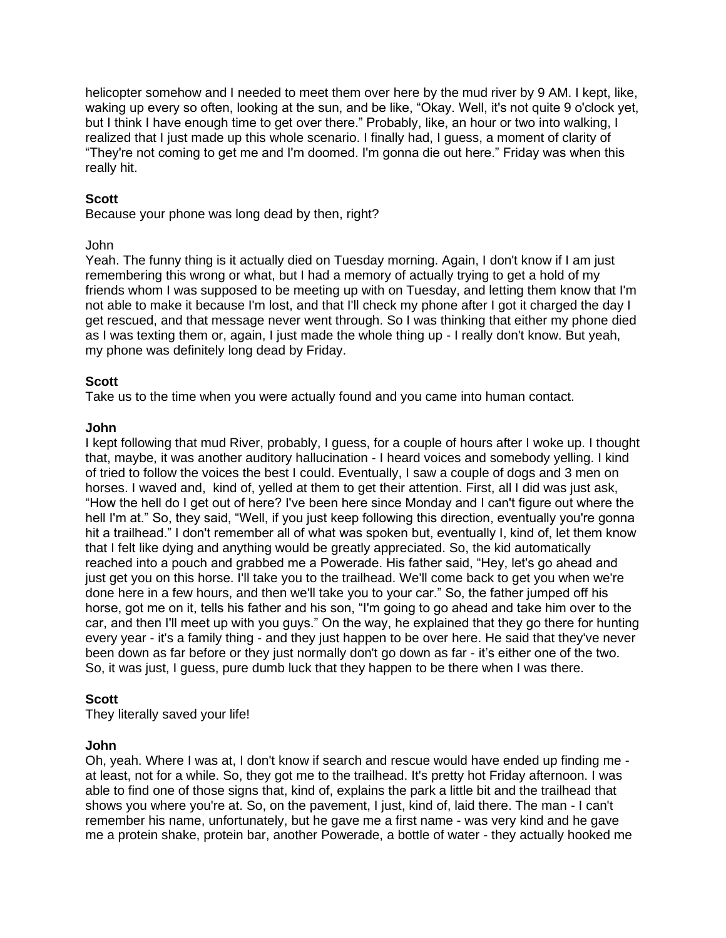helicopter somehow and I needed to meet them over here by the mud river by 9 AM. I kept, like, waking up every so often, looking at the sun, and be like, "Okay. Well, it's not quite 9 o'clock yet, but I think I have enough time to get over there." Probably, like, an hour or two into walking, I realized that I just made up this whole scenario. I finally had, I guess, a moment of clarity of "They're not coming to get me and I'm doomed. I'm gonna die out here." Friday was when this really hit.

### **Scott**

Because your phone was long dead by then, right?

#### John

Yeah. The funny thing is it actually died on Tuesday morning. Again, I don't know if I am just remembering this wrong or what, but I had a memory of actually trying to get a hold of my friends whom I was supposed to be meeting up with on Tuesday, and letting them know that I'm not able to make it because I'm lost, and that I'll check my phone after I got it charged the day I get rescued, and that message never went through. So I was thinking that either my phone died as I was texting them or, again, I just made the whole thing up - I really don't know. But yeah, my phone was definitely long dead by Friday.

#### **Scott**

Take us to the time when you were actually found and you came into human contact.

#### **John**

I kept following that mud River, probably, I guess, for a couple of hours after I woke up. I thought that, maybe, it was another auditory hallucination - I heard voices and somebody yelling. I kind of tried to follow the voices the best I could. Eventually, I saw a couple of dogs and 3 men on horses. I waved and, kind of, yelled at them to get their attention. First, all I did was just ask, "How the hell do I get out of here? I've been here since Monday and I can't figure out where the hell I'm at." So, they said, "Well, if you just keep following this direction, eventually you're gonna hit a trailhead." I don't remember all of what was spoken but, eventually I, kind of, let them know that I felt like dying and anything would be greatly appreciated. So, the kid automatically reached into a pouch and grabbed me a Powerade. His father said, "Hey, let's go ahead and just get you on this horse. I'll take you to the trailhead. We'll come back to get you when we're done here in a few hours, and then we'll take you to your car." So, the father jumped off his horse, got me on it, tells his father and his son, "I'm going to go ahead and take him over to the car, and then I'll meet up with you guys." On the way, he explained that they go there for hunting every year - it's a family thing - and they just happen to be over here. He said that they've never been down as far before or they just normally don't go down as far - it's either one of the two. So, it was just, I guess, pure dumb luck that they happen to be there when I was there.

#### **Scott**

They literally saved your life!

#### **John**

Oh, yeah. Where I was at, I don't know if search and rescue would have ended up finding me at least, not for a while. So, they got me to the trailhead. It's pretty hot Friday afternoon. I was able to find one of those signs that, kind of, explains the park a little bit and the trailhead that shows you where you're at. So, on the pavement, I just, kind of, laid there. The man - I can't remember his name, unfortunately, but he gave me a first name - was very kind and he gave me a protein shake, protein bar, another Powerade, a bottle of water - they actually hooked me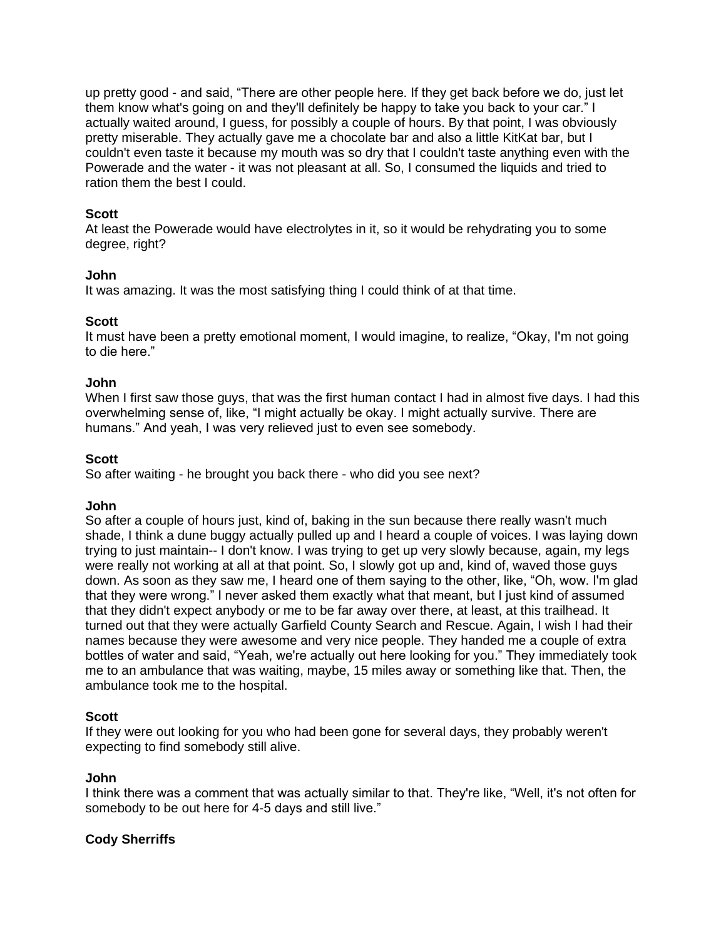up pretty good - and said, "There are other people here. If they get back before we do, just let them know what's going on and they'll definitely be happy to take you back to your car." I actually waited around, I guess, for possibly a couple of hours. By that point, I was obviously pretty miserable. They actually gave me a chocolate bar and also a little KitKat bar, but I couldn't even taste it because my mouth was so dry that I couldn't taste anything even with the Powerade and the water - it was not pleasant at all. So, I consumed the liquids and tried to ration them the best I could.

### **Scott**

At least the Powerade would have electrolytes in it, so it would be rehydrating you to some degree, right?

### **John**

It was amazing. It was the most satisfying thing I could think of at that time.

### **Scott**

It must have been a pretty emotional moment, I would imagine, to realize, "Okay, I'm not going to die here."

### **John**

When I first saw those guys, that was the first human contact I had in almost five days. I had this overwhelming sense of, like, "I might actually be okay. I might actually survive. There are humans." And yeah, I was very relieved just to even see somebody.

### **Scott**

So after waiting - he brought you back there - who did you see next?

## **John**

So after a couple of hours just, kind of, baking in the sun because there really wasn't much shade, I think a dune buggy actually pulled up and I heard a couple of voices. I was laying down trying to just maintain-- I don't know. I was trying to get up very slowly because, again, my legs were really not working at all at that point. So, I slowly got up and, kind of, waved those guys down. As soon as they saw me, I heard one of them saying to the other, like, "Oh, wow. I'm glad that they were wrong." I never asked them exactly what that meant, but I just kind of assumed that they didn't expect anybody or me to be far away over there, at least, at this trailhead. It turned out that they were actually Garfield County Search and Rescue. Again, I wish I had their names because they were awesome and very nice people. They handed me a couple of extra bottles of water and said, "Yeah, we're actually out here looking for you." They immediately took me to an ambulance that was waiting, maybe, 15 miles away or something like that. Then, the ambulance took me to the hospital.

## **Scott**

If they were out looking for you who had been gone for several days, they probably weren't expecting to find somebody still alive.

#### **John**

I think there was a comment that was actually similar to that. They're like, "Well, it's not often for somebody to be out here for 4-5 days and still live."

## **Cody Sherriffs**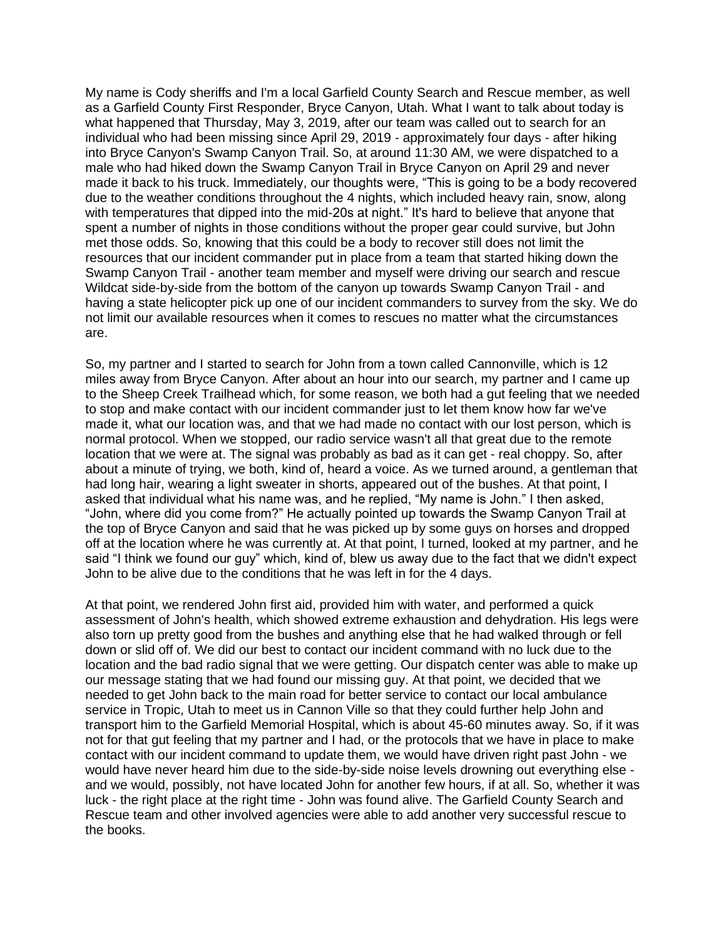My name is Cody sheriffs and I'm a local Garfield County Search and Rescue member, as well as a Garfield County First Responder, Bryce Canyon, Utah. What I want to talk about today is what happened that Thursday, May 3, 2019, after our team was called out to search for an individual who had been missing since April 29, 2019 - approximately four days - after hiking into Bryce Canyon's Swamp Canyon Trail. So, at around 11:30 AM, we were dispatched to a male who had hiked down the Swamp Canyon Trail in Bryce Canyon on April 29 and never made it back to his truck. Immediately, our thoughts were, "This is going to be a body recovered due to the weather conditions throughout the 4 nights, which included heavy rain, snow, along with temperatures that dipped into the mid-20s at night." It's hard to believe that anyone that spent a number of nights in those conditions without the proper gear could survive, but John met those odds. So, knowing that this could be a body to recover still does not limit the resources that our incident commander put in place from a team that started hiking down the Swamp Canyon Trail - another team member and myself were driving our search and rescue Wildcat side-by-side from the bottom of the canyon up towards Swamp Canyon Trail - and having a state helicopter pick up one of our incident commanders to survey from the sky. We do not limit our available resources when it comes to rescues no matter what the circumstances are.

So, my partner and I started to search for John from a town called Cannonville, which is 12 miles away from Bryce Canyon. After about an hour into our search, my partner and I came up to the Sheep Creek Trailhead which, for some reason, we both had a gut feeling that we needed to stop and make contact with our incident commander just to let them know how far we've made it, what our location was, and that we had made no contact with our lost person, which is normal protocol. When we stopped, our radio service wasn't all that great due to the remote location that we were at. The signal was probably as bad as it can get - real choppy. So, after about a minute of trying, we both, kind of, heard a voice. As we turned around, a gentleman that had long hair, wearing a light sweater in shorts, appeared out of the bushes. At that point, I asked that individual what his name was, and he replied, "My name is John." I then asked, "John, where did you come from?" He actually pointed up towards the Swamp Canyon Trail at the top of Bryce Canyon and said that he was picked up by some guys on horses and dropped off at the location where he was currently at. At that point, I turned, looked at my partner, and he said "I think we found our guy" which, kind of, blew us away due to the fact that we didn't expect John to be alive due to the conditions that he was left in for the 4 days.

At that point, we rendered John first aid, provided him with water, and performed a quick assessment of John's health, which showed extreme exhaustion and dehydration. His legs were also torn up pretty good from the bushes and anything else that he had walked through or fell down or slid off of. We did our best to contact our incident command with no luck due to the location and the bad radio signal that we were getting. Our dispatch center was able to make up our message stating that we had found our missing guy. At that point, we decided that we needed to get John back to the main road for better service to contact our local ambulance service in Tropic, Utah to meet us in Cannon Ville so that they could further help John and transport him to the Garfield Memorial Hospital, which is about 45-60 minutes away. So, if it was not for that gut feeling that my partner and I had, or the protocols that we have in place to make contact with our incident command to update them, we would have driven right past John - we would have never heard him due to the side-by-side noise levels drowning out everything else and we would, possibly, not have located John for another few hours, if at all. So, whether it was luck - the right place at the right time - John was found alive. The Garfield County Search and Rescue team and other involved agencies were able to add another very successful rescue to the books.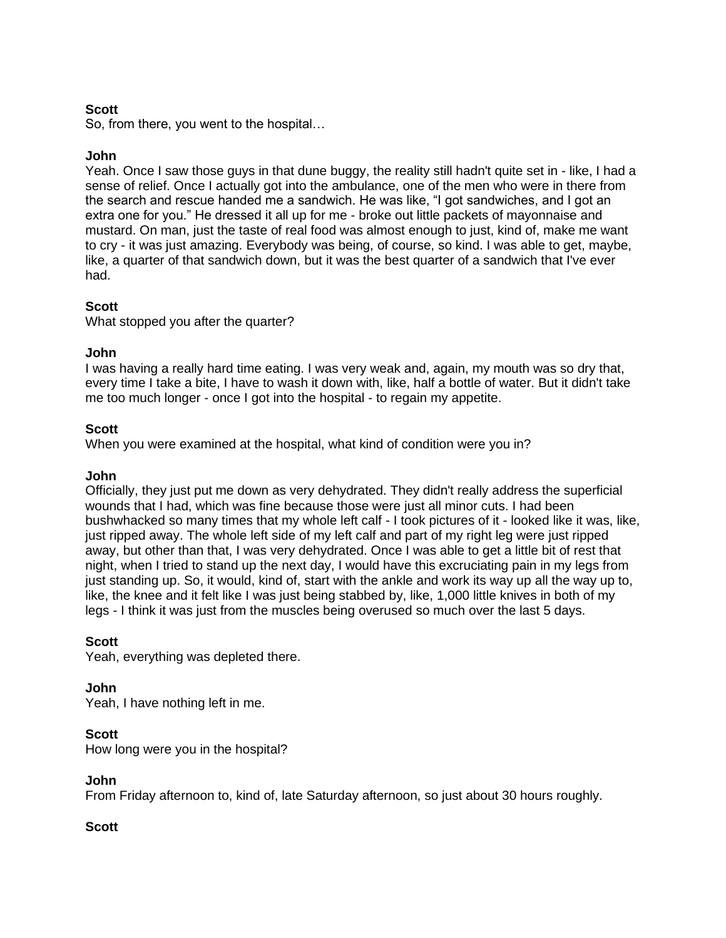## **Scott**

So, from there, you went to the hospital…

## **John**

Yeah. Once I saw those guys in that dune buggy, the reality still hadn't quite set in - like, I had a sense of relief. Once I actually got into the ambulance, one of the men who were in there from the search and rescue handed me a sandwich. He was like, "I got sandwiches, and I got an extra one for you." He dressed it all up for me - broke out little packets of mayonnaise and mustard. On man, just the taste of real food was almost enough to just, kind of, make me want to cry - it was just amazing. Everybody was being, of course, so kind. I was able to get, maybe, like, a quarter of that sandwich down, but it was the best quarter of a sandwich that I've ever had.

## **Scott**

What stopped you after the quarter?

### **John**

I was having a really hard time eating. I was very weak and, again, my mouth was so dry that, every time I take a bite, I have to wash it down with, like, half a bottle of water. But it didn't take me too much longer - once I got into the hospital - to regain my appetite.

### **Scott**

When you were examined at the hospital, what kind of condition were you in?

#### **John**

Officially, they just put me down as very dehydrated. They didn't really address the superficial wounds that I had, which was fine because those were just all minor cuts. I had been bushwhacked so many times that my whole left calf - I took pictures of it - looked like it was, like, just ripped away. The whole left side of my left calf and part of my right leg were just ripped away, but other than that, I was very dehydrated. Once I was able to get a little bit of rest that night, when I tried to stand up the next day, I would have this excruciating pain in my legs from just standing up. So, it would, kind of, start with the ankle and work its way up all the way up to, like, the knee and it felt like I was just being stabbed by, like, 1,000 little knives in both of my legs - I think it was just from the muscles being overused so much over the last 5 days.

#### **Scott**

Yeah, everything was depleted there.

#### **John**

Yeah, I have nothing left in me.

#### **Scott**

How long were you in the hospital?

### **John**

From Friday afternoon to, kind of, late Saturday afternoon, so just about 30 hours roughly.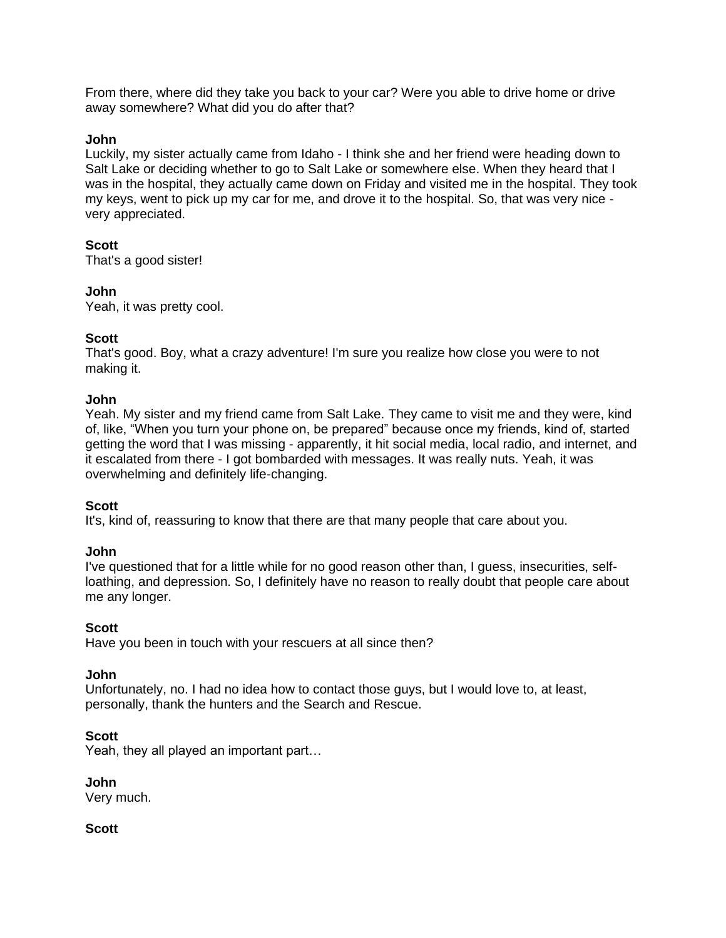From there, where did they take you back to your car? Were you able to drive home or drive away somewhere? What did you do after that?

### **John**

Luckily, my sister actually came from Idaho - I think she and her friend were heading down to Salt Lake or deciding whether to go to Salt Lake or somewhere else. When they heard that I was in the hospital, they actually came down on Friday and visited me in the hospital. They took my keys, went to pick up my car for me, and drove it to the hospital. So, that was very nice very appreciated.

# **Scott**

That's a good sister!

# **John**

Yeah, it was pretty cool.

# **Scott**

That's good. Boy, what a crazy adventure! I'm sure you realize how close you were to not making it.

## **John**

Yeah. My sister and my friend came from Salt Lake. They came to visit me and they were, kind of, like, "When you turn your phone on, be prepared" because once my friends, kind of, started getting the word that I was missing - apparently, it hit social media, local radio, and internet, and it escalated from there - I got bombarded with messages. It was really nuts. Yeah, it was overwhelming and definitely life-changing.

## **Scott**

It's, kind of, reassuring to know that there are that many people that care about you.

## **John**

I've questioned that for a little while for no good reason other than, I guess, insecurities, selfloathing, and depression. So, I definitely have no reason to really doubt that people care about me any longer.

## **Scott**

Have you been in touch with your rescuers at all since then?

#### **John**

Unfortunately, no. I had no idea how to contact those guys, but I would love to, at least, personally, thank the hunters and the Search and Rescue.

## **Scott**

Yeah, they all played an important part…

#### **John**

Very much.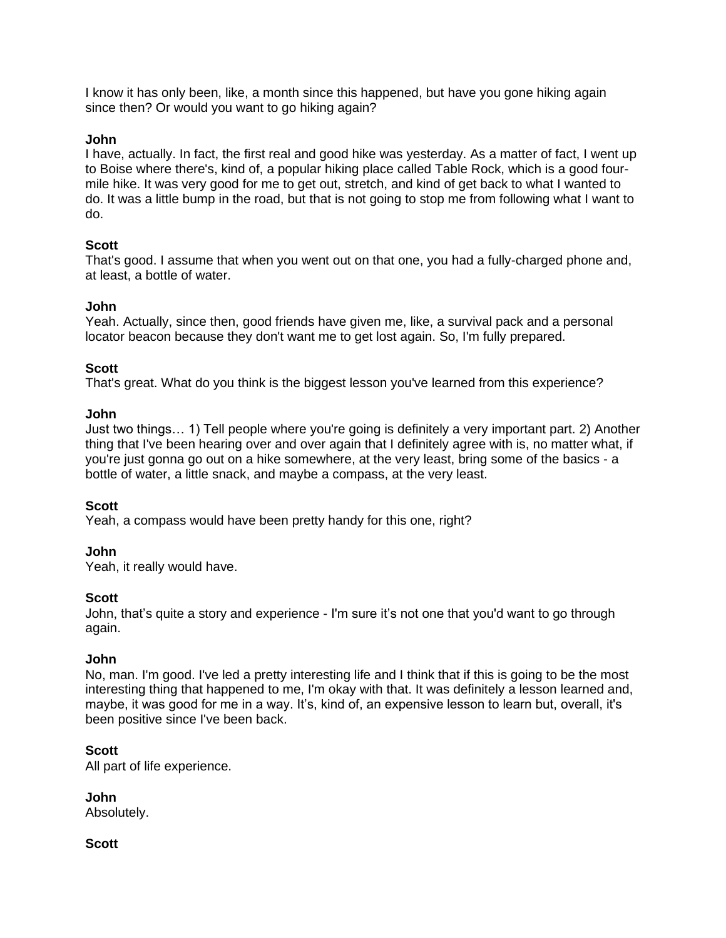I know it has only been, like, a month since this happened, but have you gone hiking again since then? Or would you want to go hiking again?

### **John**

I have, actually. In fact, the first real and good hike was yesterday. As a matter of fact, I went up to Boise where there's, kind of, a popular hiking place called Table Rock, which is a good fourmile hike. It was very good for me to get out, stretch, and kind of get back to what I wanted to do. It was a little bump in the road, but that is not going to stop me from following what I want to do.

## **Scott**

That's good. I assume that when you went out on that one, you had a fully-charged phone and, at least, a bottle of water.

### **John**

Yeah. Actually, since then, good friends have given me, like, a survival pack and a personal locator beacon because they don't want me to get lost again. So, I'm fully prepared.

### **Scott**

That's great. What do you think is the biggest lesson you've learned from this experience?

#### **John**

Just two things… 1) Tell people where you're going is definitely a very important part. 2) Another thing that I've been hearing over and over again that I definitely agree with is, no matter what, if you're just gonna go out on a hike somewhere, at the very least, bring some of the basics - a bottle of water, a little snack, and maybe a compass, at the very least.

#### **Scott**

Yeah, a compass would have been pretty handy for this one, right?

#### **John**

Yeah, it really would have.

#### **Scott**

John, that's quite a story and experience - I'm sure it's not one that you'd want to go through again.

#### **John**

No, man. I'm good. I've led a pretty interesting life and I think that if this is going to be the most interesting thing that happened to me, I'm okay with that. It was definitely a lesson learned and, maybe, it was good for me in a way. It's, kind of, an expensive lesson to learn but, overall, it's been positive since I've been back.

#### **Scott**

All part of life experience.

**John** Absolutely.